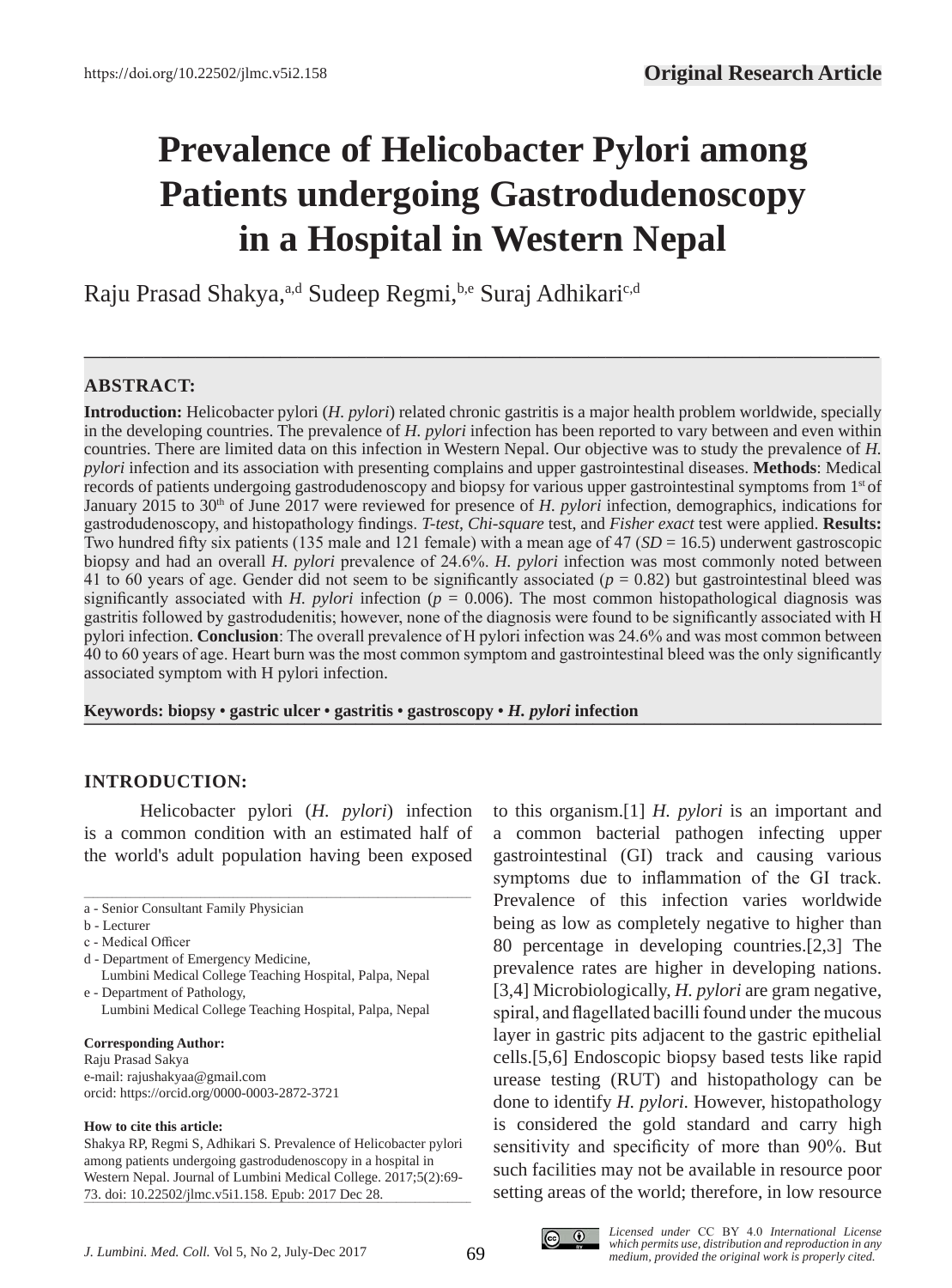# **Prevalence of Helicobacter Pylori among Patients undergoing Gastrodudenoscopy in a Hospital in Western Nepal**

**—–—————————————————————————————————————————————**

Raju Prasad Shakya,<sup>a,d</sup> Sudeep Regmi, b,e Suraj Adhikari<sup>c,d</sup>

# **ABSTRACT:**

**Introduction:** Helicobacter pylori (*H. pylori*) related chronic gastritis is a major health problem worldwide, specially in the developing countries. The prevalence of *H. pylori* infection has been reported to vary between and even within countries. There are limited data on this infection in Western Nepal. Our objective was to study the prevalence of *H. pylori* infection and its association with presenting complains and upper gastrointestinal diseases. **Methods**: Medical records of patients undergoing gastrodudenoscopy and biopsy for various upper gastrointestinal symptoms from 1st of January 2015 to 30th of June 2017 were reviewed for presence of *H. pylori* infection, demographics, indications for gastrodudenoscopy, and histopathology findings. *T-test*, *Chi-square* test, and *Fisher exact* test were applied. **Results:** Two hundred fifty six patients (135 male and 121 female) with a mean age of 47 (*SD* = 16.5) underwent gastroscopic biopsy and had an overall *H. pylori* prevalence of 24.6%. *H. pylori* infection was most commonly noted between 41 to 60 years of age. Gender did not seem to be significantly associated  $(p = 0.82)$  but gastrointestinal bleed was significantly associated with *H. pylori* infection ( $p = 0.006$ ). The most common histopathological diagnosis was gastritis followed by gastrodudenitis; however, none of the diagnosis were found to be significantly associated with H pylori infection. **Conclusion**: The overall prevalence of H pylori infection was 24.6% and was most common between 40 to 60 years of age. Heart burn was the most common symptom and gastrointestinal bleed was the only significantly associated symptom with H pylori infection.

**Keywords: biopsy • gastric ulcer • gastritis • gastroscopy •** *H. pylori* **infection** 

# **INTRODUCTION:**

Helicobacter pylori (*H. pylori*) infection is a common condition with an estimated half of the world's adult population having been exposed

\_\_\_\_\_\_\_\_\_\_\_\_\_\_\_\_\_\_\_\_\_\_\_\_\_\_\_\_\_\_\_\_\_\_\_\_\_\_\_\_\_\_\_\_\_\_\_\_\_\_\_\_\_\_\_\_\_\_\_\_\_\_\_\_\_\_\_\_\_\_\_\_\_\_\_\_\_\_\_\_\_\_\_

#### **Corresponding Author:**

Raju Prasad Sakya e-mail: rajushakyaa@gmail.com orcid: https://orcid.org/0000-0003-2872-3721

#### **How to cite this article:**

Shakya RP, Regmi S, Adhikari S. Prevalence of Helicobacter pylori among patients undergoing gastrodudenoscopy in a hospital in Western Nepal. Journal of Lumbini Medical College. 2017;5(2):69- 73. doi: 10.22502/jlmc.v5i1.158. Epub: 2017 Dec 28.

to this organism.[1] *H. pylori* is an important and a common bacterial pathogen infecting upper gastrointestinal (GI) track and causing various symptoms due to inflammation of the GI track. Prevalence of this infection varies worldwide being as low as completely negative to higher than 80 percentage in developing countries.[2,3] The prevalence rates are higher in developing nations. [3,4] Microbiologically, *H. pylori* are gram negative, spiral, and flagellated bacilli found under the mucous layer in gastric pits adjacent to the gastric epithelial cells.[5,6] Endoscopic biopsy based tests like rapid urease testing (RUT) and histopathology can be done to identify *H. pylori.* However, histopathology is considered the gold standard and carry high sensitivity and specificity of more than 90%. But such facilities may not be available in resource poor setting areas of the world; therefore, in low resource



a - Senior Consultant Family Physician

b - Lecturer

c - Medical Officer

d - Department of Emergency Medicine,

Lumbini Medical College Teaching Hospital, Palpa, Nepal e - Department of Pathology,

Lumbini Medical College Teaching Hospital, Palpa, Nepal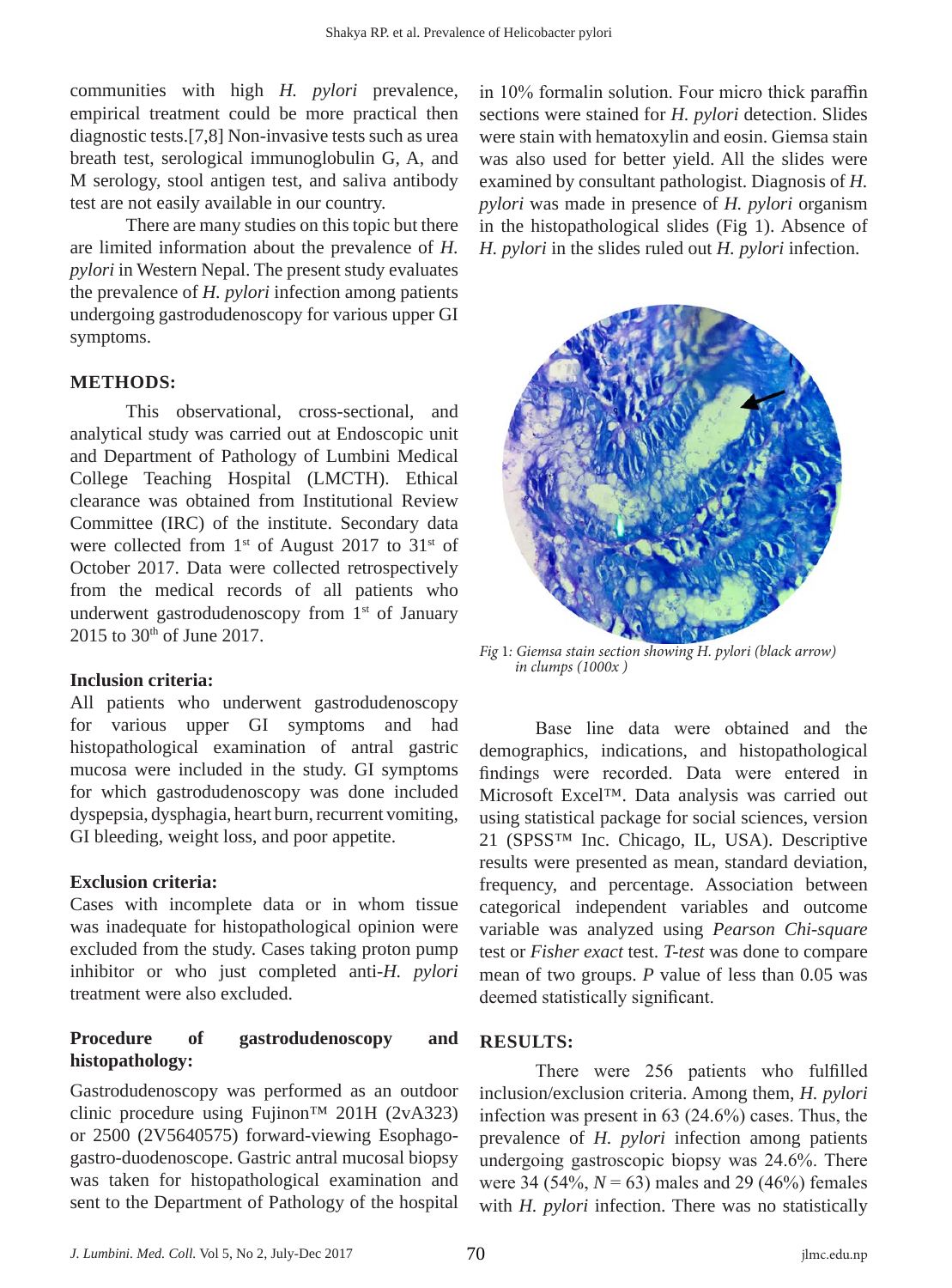communities with high *H. pylori* prevalence, empirical treatment could be more practical then diagnostic tests.[7,8] Non-invasive tests such as urea breath test, serological immunoglobulin G, A, and M serology, stool antigen test, and saliva antibody test are not easily available in our country.

There are many studies on this topic but there are limited information about the prevalence of *H. pylori* in Western Nepal. The present study evaluates the prevalence of *H. pylori* infection among patients undergoing gastrodudenoscopy for various upper GI symptoms.

#### **METHODS:**

This observational, cross-sectional, and analytical study was carried out at Endoscopic unit and Department of Pathology of Lumbini Medical College Teaching Hospital (LMCTH). Ethical clearance was obtained from Institutional Review Committee (IRC) of the institute. Secondary data were collected from 1<sup>st</sup> of August 2017 to 31<sup>st</sup> of October 2017. Data were collected retrospectively from the medical records of all patients who underwent gastrodudenoscopy from 1<sup>st</sup> of January 2015 to 30th of June 2017.

#### **Inclusion criteria:**

All patients who underwent gastrodudenoscopy for various upper GI symptoms and had histopathological examination of antral gastric mucosa were included in the study. GI symptoms for which gastrodudenoscopy was done included dyspepsia, dysphagia, heart burn, recurrent vomiting, GI bleeding, weight loss, and poor appetite.

#### **Exclusion criteria:**

Cases with incomplete data or in whom tissue was inadequate for histopathological opinion were excluded from the study. Cases taking proton pump inhibitor or who just completed anti-*H. pylori*  treatment were also excluded.

# **Procedure of gastrodudenoscopy and histopathology:**

Gastrodudenoscopy was performed as an outdoor clinic procedure using Fujinon<sup>TM</sup> 201H (2vA323) or 2500 (2V5640575) forward-viewing Esophagogastro-duodenoscope. Gastric antral mucosal biopsy was taken for histopathological examination and sent to the Department of Pathology of the hospital

in 10% formalin solution. Four micro thick paraffin sections were stained for *H. pylori* detection. Slides were stain with hematoxylin and eosin. Giemsa stain was also used for better yield. All the slides were examined by consultant pathologist. Diagnosis of *H. pylori* was made in presence of *H. pylori* organism in the histopathological slides (Fig 1). Absence of *H. pylori* in the slides ruled out *H. pylori* infection.



*Fig* 1*: Giemsa stain section showing H. pylori (black arrow) in clumps (1000x )*

Base line data were obtained and the demographics, indications, and histopathological findings were recorded. Data were entered in Microsoft Excel™. Data analysis was carried out using statistical package for social sciences, version 21 (SPSS™ Inc. Chicago, IL, USA). Descriptive results were presented as mean, standard deviation, frequency, and percentage. Association between categorical independent variables and outcome variable was analyzed using *Pearson Chi-square*  test or *Fisher exact* test. *T-test* was done to compare mean of two groups. *P* value of less than 0.05 was deemed statistically significant.

# **RESULTS:**

There were 256 patients who fulfilled inclusion/exclusion criteria. Among them, *H. pylori*  infection was present in 63 (24.6%) cases. Thus, the prevalence of *H. pylori* infection among patients undergoing gastroscopic biopsy was 24.6%. There were 34 (54%,  $N = 63$ ) males and 29 (46%) females with *H. pylori* infection. There was no statistically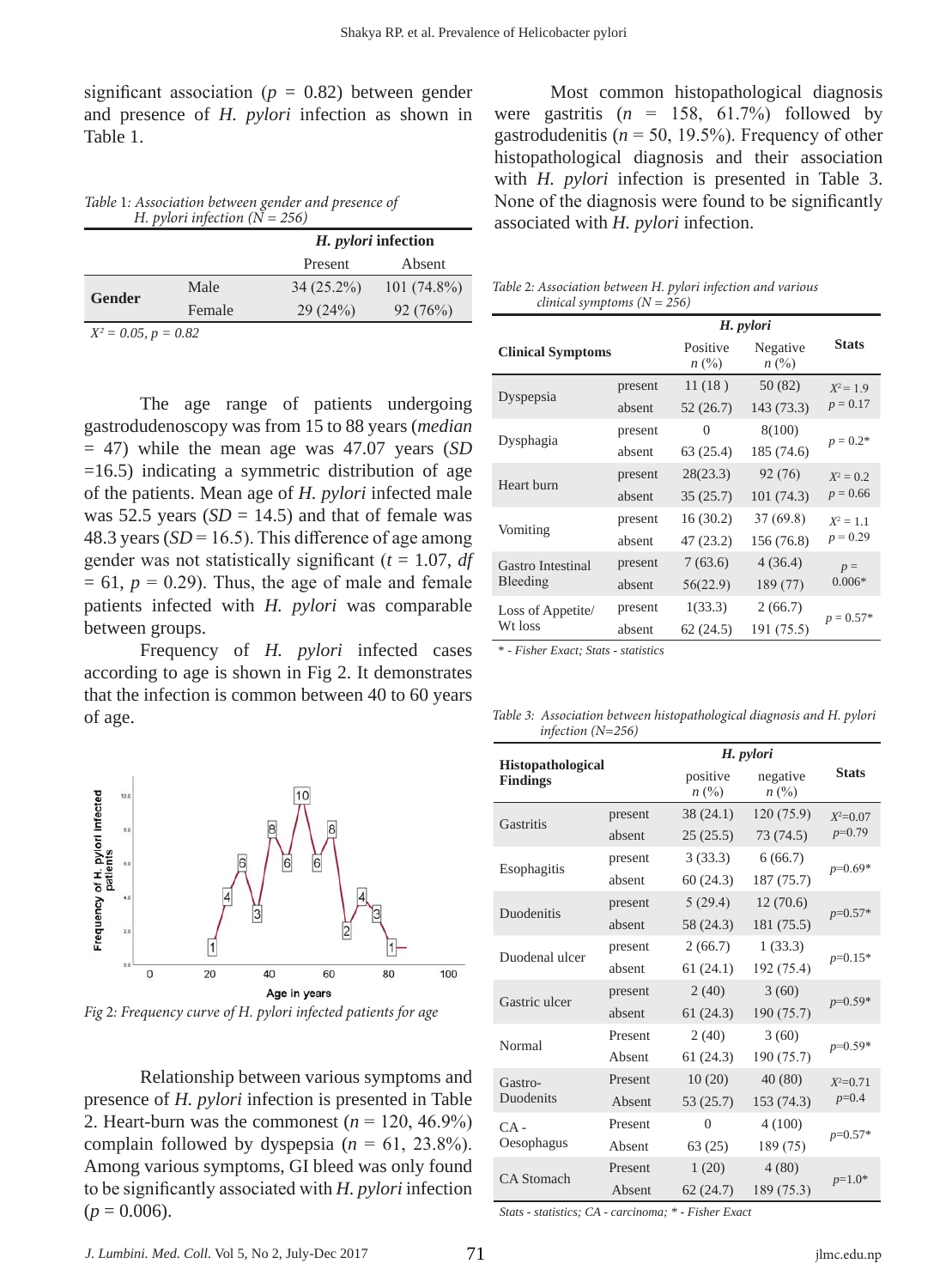significant association ( $p = 0.82$ ) between gender and presence of *H. pylori* infection as shown in Table 1.

*Table* 1*: Association between gender and presence of H. pylori infection (N = 256)*

|                   |               |              | H. pylori infection |  |
|-------------------|---------------|--------------|---------------------|--|
|                   |               | Present      | Absent              |  |
| <b>Gender</b>     | Male          | $34(25.2\%)$ | $101(74.8\%)$       |  |
|                   | Female        | 29(24%)      | 92(76%)             |  |
| $\Omega$ $\Omega$ | $\cap$ $\cap$ |              |                     |  |

*X2 = 0.05, p = 0.82*

The age range of patients undergoing gastrodudenoscopy was from 15 to 88 years (*median* = 47) while the mean age was 47.07 years (*SD*   $=16.5$ ) indicating a symmetric distribution of age of the patients. Mean age of *H. pylori* infected male was 52.5 years  $(SD = 14.5)$  and that of female was 48.3 years ( $SD = 16.5$ ). This difference of age among gender was not statistically significant (*t* = 1.07, *df*   $= 61$ ,  $p = 0.29$ ). Thus, the age of male and female patients infected with *H. pylori* was comparable between groups.

Frequency of *H. pylori* infected cases according to age is shown in Fig 2. It demonstrates that the infection is common between 40 to 60 years of age.



*Fig* 2*: Frequency curve of H. pylori infected patients for age*

Relationship between various symptoms and presence of *H. pylori* infection is presented in Table 2. Heart-burn was the commonest  $(n = 120, 46.9\%)$ complain followed by dyspepsia  $(n = 61, 23.8\%)$ . Among various symptoms, GI bleed was only found to be significantly associated with *H. pylori* infection  $(p = 0.006)$ .

Most common histopathological diagnosis were gastritis  $(n = 158, 61.7%)$  followed by gastrodudenitis ( $n = 50$ , 19.5%). Frequency of other histopathological diagnosis and their association with *H. pylori* infection is presented in Table 3. None of the diagnosis were found to be significantly associated with *H. pylori* infection.

| Table 2: Association between H. pylori infection and various |  |  |
|--------------------------------------------------------------|--|--|
| <i>clinical symptoms</i> $(N = 256)$                         |  |  |

|                          | H. pylori |                       |                       |              |
|--------------------------|-----------|-----------------------|-----------------------|--------------|
| <b>Clinical Symptoms</b> |           | Positive<br>$n\ (\%)$ | Negative<br>$n\ (\%)$ | <b>Stats</b> |
|                          | present   | 11(18)                | 50 (82)               | $X^2 = 1.9$  |
| Dyspepsia                | absent    | 52(26.7)              | 143 (73.3)            | $p = 0.17$   |
|                          | present   | $\Omega$              | 8(100)                |              |
| Dysphagia                | absent    | 63 (25.4)             | 185 (74.6)            | $p = 0.2*$   |
|                          | present   | 28(23.3)              | 92 (76)               | $X^2 = 0.2$  |
| Heart burn               | absent    | 35(25.7)              | 101(74.3)             | $p = 0.66$   |
|                          | present   | 16(30.2)              | 37(69.8)              | $X^2 = 1.1$  |
| Vomiting                 | absent    | 47 (23.2)             | 156 (76.8)            | $p = 0.29$   |
| Gastro Intestinal        | present   | 7(63.6)               | 4(36.4)               | $p =$        |
| Bleeding                 | absent    | 56(22.9)              | 189 (77)              | $0.006*$     |
| Loss of Appetite/        | present   | 1(33.3)               | 2(66.7)               |              |
| Wt loss                  | absent    | 62(24.5)              | 191 (75.5)            | $p = 0.57*$  |

\* - *Fisher Exact; Stats - statistics*

*Table 3: Association between histopathological diagnosis and H. pylori infection (N=256)*

| <b>Histopathological</b><br><b>Findings</b> |         | H. pylori             |                            |              |
|---------------------------------------------|---------|-----------------------|----------------------------|--------------|
|                                             |         | positive<br>$n\ (\%)$ | negative<br>$n(^{0}/_{0})$ | <b>Stats</b> |
| Gastritis                                   | present | 38(24.1)              | 120 (75.9)                 | $X^2=0.07$   |
|                                             | absent  | 25(25.5)              | 73 (74.5)                  | $p=0.79$     |
|                                             | present | 3(33.3)               | 6(66.7)                    | $p=0.69*$    |
| Esophagitis                                 | absent  | 60 (24.3)             | 187 (75.7)                 |              |
| <b>Duodenitis</b>                           | present | 5(29.4)               | 12(70.6)                   | $p=0.57*$    |
|                                             | absent  | 58 (24.3)             | 181 (75.5)                 |              |
| Duodenal ulcer                              | present | 2(66.7)               | 1(33.3)                    | $p=0.15*$    |
|                                             | absent  | 61(24.1)              | 192 (75.4)                 |              |
| Gastric ulcer                               | present | 2(40)                 | 3(60)                      | $p=0.59*$    |
|                                             | absent  | 61(24.3)              | 190 (75.7)                 |              |
| Normal                                      | Present | 2(40)                 | 3(60)                      | $p=0.59*$    |
|                                             | Absent  | 61 (24.3)             | 190 (75.7)                 |              |
| Gastro-                                     | Present | 10(20)                | 40 (80)                    | $X^2=0.71$   |
| <b>Duodenits</b>                            | Absent  | 53 (25.7)             | 153 (74.3)                 | $p=0.4$      |
| $CA -$                                      | Present | $\theta$              | 4(100)                     | $p=0.57*$    |
| Oesophagus                                  | Absent  | 63(25)                | 189 (75)                   |              |
| <b>CA</b> Stomach                           | Present | 1(20)                 | 4(80)                      |              |
|                                             | Absent  | 62(24.7)              | 189 (75.3)                 | $p=1.0*$     |

*Stats - statistics; CA - carcinoma; \* - Fisher Exact*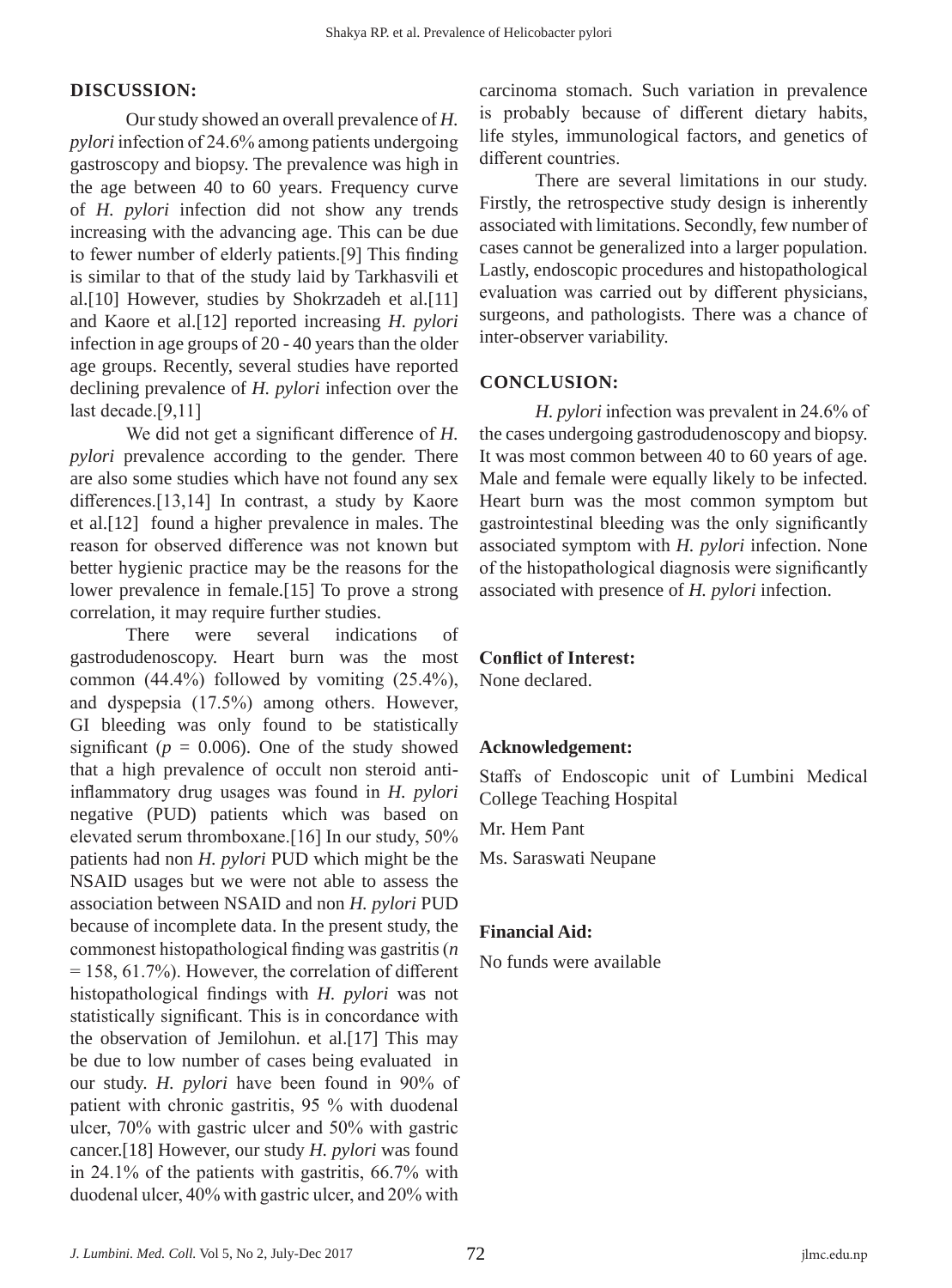# **DISCUSSION:**

Our study showed an overall prevalence of *H. pylori* infection of 24.6% among patients undergoing gastroscopy and biopsy. The prevalence was high in the age between 40 to 60 years. Frequency curve of *H. pylori* infection did not show any trends increasing with the advancing age. This can be due to fewer number of elderly patients.[9] This finding is similar to that of the study laid by Tarkhasvili et al.[10] However, studies by Shokrzadeh et al.[11] and Kaore et al.[12] reported increasing *H. pylori*  infection in age groups of 20 - 40 years than the older age groups. Recently, several studies have reported declining prevalence of *H. pylori* infection over the last decade.[9,11]

We did not get a significant difference of *H. pylori* prevalence according to the gender. There are also some studies which have not found any sex differences.[13,14] In contrast, a study by Kaore et al.[12] found a higher prevalence in males. The reason for observed difference was not known but better hygienic practice may be the reasons for the lower prevalence in female.[15] To prove a strong correlation, it may require further studies.

There were several indications of gastrodudenoscopy. Heart burn was the most common (44.4%) followed by vomiting (25.4%), and dyspepsia (17.5%) among others. However, GI bleeding was only found to be statistically significant ( $p = 0.006$ ). One of the study showed that a high prevalence of occult non steroid antiinflammatory drug usages was found in *H. pylori*  negative (PUD) patients which was based on elevated serum thromboxane.[16] In our study, 50% patients had non *H. pylori* PUD which might be the NSAID usages but we were not able to assess the association between NSAID and non *H. pylori* PUD because of incomplete data. In the present study, the commonest histopathological finding was gastritis (*n*   $= 158, 61.7\%$ ). However, the correlation of different histopathological findings with *H. pylori* was not statistically significant. This is in concordance with the observation of Jemilohun. et al.[17] This may be due to low number of cases being evaluated in our study. *H. pylori* have been found in 90% of patient with chronic gastritis, 95 % with duodenal ulcer, 70% with gastric ulcer and 50% with gastric cancer.[18] However, our study *H. pylori* was found in 24.1% of the patients with gastritis, 66.7% with duodenal ulcer, 40% with gastric ulcer, and 20% with

carcinoma stomach. Such variation in prevalence is probably because of different dietary habits, life styles, immunological factors, and genetics of different countries.

There are several limitations in our study. Firstly, the retrospective study design is inherently associated with limitations. Secondly, few number of cases cannot be generalized into a larger population. Lastly, endoscopic procedures and histopathological evaluation was carried out by different physicians, surgeons, and pathologists. There was a chance of inter-observer variability.

#### **CONCLUSION:**

*H. pylori* infection was prevalent in 24.6% of the cases undergoing gastrodudenoscopy and biopsy. It was most common between 40 to 60 years of age. Male and female were equally likely to be infected. Heart burn was the most common symptom but gastrointestinal bleeding was the only significantly associated symptom with *H. pylori* infection. None of the histopathological diagnosis were significantly associated with presence of *H. pylori* infection.

# **Conflict of Interest:**

None declared.

# **Acknowledgement:**

Staffs of Endoscopic unit of Lumbini Medical College Teaching Hospital

Mr. Hem Pant

Ms. Saraswati Neupane

# **Financial Aid:**

No funds were available